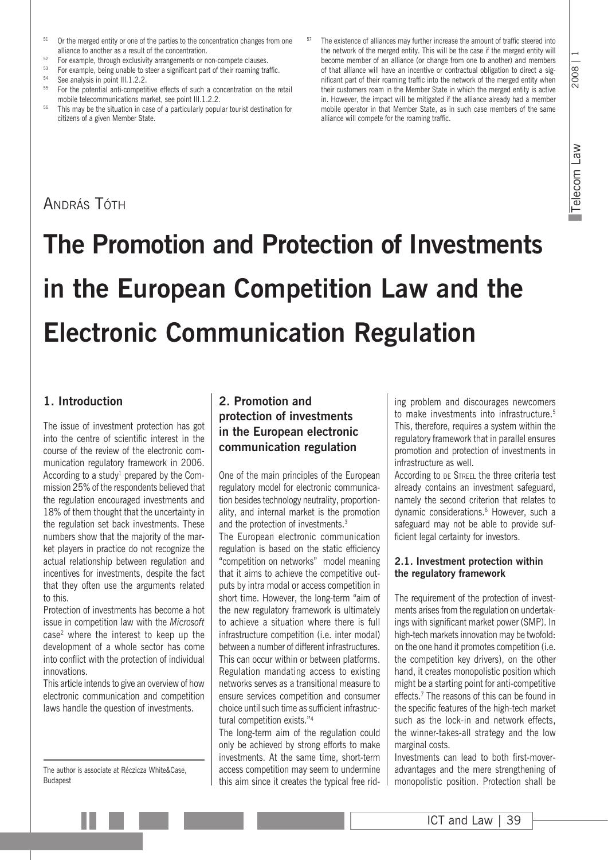- $51$  Or the merged entity or one of the parties to the concentration changes from one alliance to another as a result of the concentration.
- <sup>52</sup> For example, through exclusivity arrangements or non-compete clauses.<br> $\frac{53}{2}$  For example, being uppble to store a significant part of their require tra
- 53 For example, being unable to steer a significant part of their roaming traffic.<br>54 See analysis in point III.1.2.2.<br>55 See the actualist carrier in point in point in the state of such a secondation on the state
- 
- <sup>55</sup> For the potential anti-competitive effects of such a concentration on the retail mobile telecommunications market, see point III.1.2.2.
- <sup>56</sup> This may be the situation in case of a particularly popular tourist destination for citizens of a given Member State.
- The existence of alliances may further increase the amount of traffic steered into the network of the merged entity. This will be the case if the merged entity will become member of an alliance (or change from one to another) and members of that alliance will have an incentive or contractual obligation to direct a significant part of their roaming traffic into the network of the merged entity when their customers roam in the Member State in which the merged entity is active in. However, the impact will be mitigated if the alliance already had a member mobile operator in that Member State, as in such case members of the same alliance will compete for the roaming traffic.

# András Tóth

# **The Promotion and Protection of Investments in the European Competition Law and the Electronic Communication Regulation**

## **1. Introduction**

The issue of investment protection has got into the centre of scientific interest in the course of the review of the electronic communication regulatory framework in 2006. According to a study<sup>1</sup> prepared by the Commission 25% of the respondents believed that the regulation encouraged investments and 18% of them thought that the uncertainty in the regulation set back investments. These numbers show that the majority of the market players in practice do not recognize the actual relationship between regulation and incentives for investments, despite the fact that they often use the arguments related to this.

Protection of investments has become a hot issue in competition law with the *Microsoft* case2 where the interest to keep up the development of a whole sector has come into conflict with the protection of individual innovations.

This article intends to give an overview of how electronic communication and competition laws handle the question of investments.

The author is associate at Réczicza White&Case, Budapest

## **2. Promotion and protection of investments in the European electronic communication regulation**

One of the main principles of the European regulatory model for electronic communication besides technology neutrality, proportionality, and internal market is the promotion and the protection of investments.<sup>3</sup> The European electronic communication regulation is based on the static efficiency "competition on networks" model meaning that it aims to achieve the competitive outputs by intra modal or access competition in short time. However, the long-term "aim of the new regulatory framework is ultimately to achieve a situation where there is full infrastructure competition (i.e. inter modal) between a number of different infrastructures. This can occur within or between platforms. Regulation mandating access to existing networks serves as a transitional measure to ensure services competition and consumer choice until such time as sufficient infrastructural competition exists."4

The long-term aim of the regulation could only be achieved by strong efforts to make investments. At the same time, short-term access competition may seem to undermine this aim since it creates the typical free riding problem and discourages newcomers to make investments into infrastructure.<sup>5</sup> This, therefore, requires a system within the regulatory framework that in parallel ensures promotion and protection of investments in infrastructure as well.

According to DE STREEL the three criteria test already contains an investment safeguard, namely the second criterion that relates to dynamic considerations.6 However, such a safeguard may not be able to provide sufficient legal certainty for investors.

#### **2.1. Investment protection within the regulatory framework**

The requirement of the protection of investments arises from the regulation on undertakings with significant market power (SMP). In high-tech markets innovation may be twofold: on the one hand it promotes competition (i.e. the competition key drivers), on the other hand, it creates monopolistic position which might be a starting point for anti-competitive effects.<sup>7</sup> The reasons of this can be found in the specific features of the high-tech market such as the lock-in and network effects, the winner-takes-all strategy and the low marginal costs.

Investments can lead to both first-moveradvantages and the mere strengthening of monopolistic position. Protection shall be

Telecom Law

Telecom Law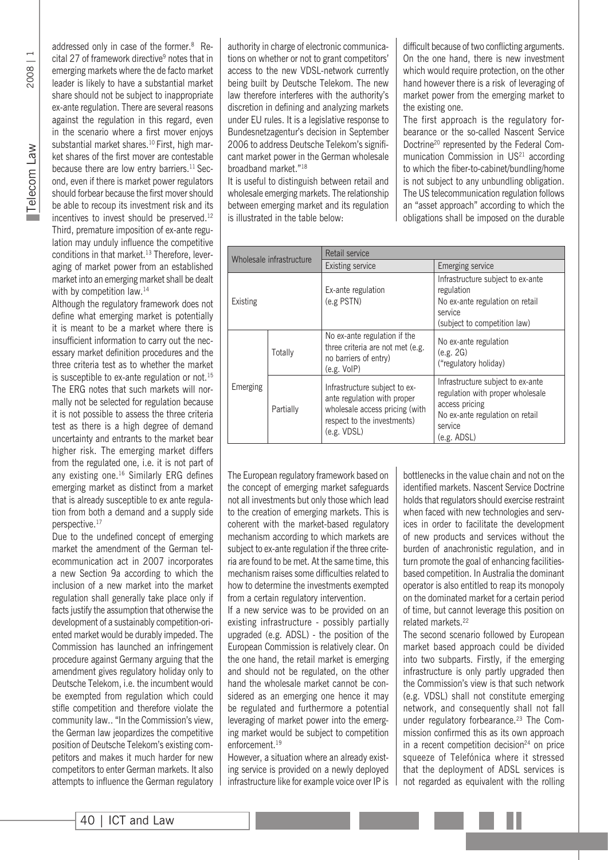2008 | 1

addressed only in case of the former.8 Recital 27 of framework directive<sup>9</sup> notes that in emerging markets where the de facto market leader is likely to have a substantial market share should not be subject to inappropriate ex-ante regulation. There are several reasons against the regulation in this regard, even in the scenario where a first mover enjoys substantial market shares.<sup>10</sup> First, high market shares of the first mover are contestable because there are low entry barriers.<sup>11</sup> Second, even if there is market power regulators should forbear because the first mover should be able to recoup its investment risk and its incentives to invest should be preserved.<sup>12</sup> Third, premature imposition of ex-ante regulation may unduly influence the competitive conditions in that market.13 Therefore, leveraging of market power from an established market into an emerging market shall be dealt

with by competition law.<sup>14</sup> Although the regulatory framework does not define what emerging market is potentially it is meant to be a market where there is insufficient information to carry out the necessary market definition procedures and the three criteria test as to whether the market is susceptible to ex-ante regulation or not.<sup>15</sup> The ERG notes that such markets will normally not be selected for regulation because it is not possible to assess the three criteria test as there is a high degree of demand uncertainty and entrants to the market bear higher risk. The emerging market differs from the regulated one, i.e. it is not part of any existing one.16 Similarly ERG defines emerging market as distinct from a market that is already susceptible to ex ante regulation from both a demand and a supply side perspective.17

Due to the undefined concept of emerging market the amendment of the German telecommunication act in 2007 incorporates a new Section 9a according to which the inclusion of a new market into the market regulation shall generally take place only if facts justify the assumption that otherwise the development of a sustainably competition-oriented market would be durably impeded. The Commission has launched an infringement procedure against Germany arguing that the amendment gives regulatory holiday only to Deutsche Telekom, i.e. the incumbent would be exempted from regulation which could stifle competition and therefore violate the community law.. "In the Commission's view, the German law jeopardizes the competitive position of Deutsche Telekom's existing competitors and makes it much harder for new competitors to enter German markets. It also attempts to influence the German regulatory

authority in charge of electronic communications on whether or not to grant competitors' access to the new VDSL-network currently being built by Deutsche Telekom. The new law therefore interferes with the authority's discretion in defining and analyzing markets under EU rules. It is a legislative response to Bundesnetzagentur's decision in September 2006 to address Deutsche Telekom's significant market power in the German wholesale broadband market."18

It is useful to distinguish between retail and wholesale emerging markets. The relationship between emerging market and its regulation is illustrated in the table below:

difficult because of two conflicting arguments. On the one hand, there is new investment which would require protection, on the other hand however there is a risk of leveraging of market power from the emerging market to the existing one.

The first approach is the regulatory forbearance or the so-called Nascent Service Doctrine20 represented by the Federal Communication Commission in US<sup>21</sup> according to which the fiber-to-cabinet/bundling/home is not subject to any unbundling obligation. The US telecommunication regulation follows an "asset approach" according to which the obligations shall be imposed on the durable

| Wholesale infrastructure |           | Retail service                                                                                                                               |                                                                                                                                                      |
|--------------------------|-----------|----------------------------------------------------------------------------------------------------------------------------------------------|------------------------------------------------------------------------------------------------------------------------------------------------------|
|                          |           | <b>Existing service</b>                                                                                                                      | Emerging service                                                                                                                                     |
| Existing                 |           | Ex-ante regulation<br>$(e.g.$ PSTN $)$                                                                                                       | Infrastructure subject to ex-ante<br>regulation<br>No ex-ante regulation on retail<br>service<br>(subject to competition law)                        |
| Emerging                 | Totally   | No ex-ante regulation if the<br>three criteria are not met (e.g.<br>no barriers of entry)<br>(e.g. VolP)                                     | No ex-ante regulation<br>(e.g. 2G)<br>("regulatory holiday)                                                                                          |
|                          | Partially | Infrastructure subject to ex-<br>ante regulation with proper<br>wholesale access pricing (with<br>respect to the investments)<br>(e.g. VDSL) | Infrastructure subject to ex-ante<br>regulation with proper wholesale<br>access pricing<br>No ex-ante regulation on retail<br>service<br>(e.g. ADSL) |

The European regulatory framework based on the concept of emerging market safeguards not all investments but only those which lead to the creation of emerging markets. This is coherent with the market-based regulatory mechanism according to which markets are subject to ex-ante regulation if the three criteria are found to be met. At the same time, this mechanism raises some difficulties related to how to determine the investments exempted from a certain regulatory intervention.

If a new service was to be provided on an existing infrastructure - possibly partially upgraded (e.g. ADSL) - the position of the European Commission is relatively clear. On the one hand, the retail market is emerging and should not be regulated, on the other hand the wholesale market cannot be considered as an emerging one hence it may be regulated and furthermore a potential leveraging of market power into the emerging market would be subject to competition enforcement.<sup>19</sup>

However, a situation where an already existing service is provided on a newly deployed infrastructure like for example voice over IP is bottlenecks in the value chain and not on the identified markets. Nascent Service Doctrine holds that regulators should exercise restraint when faced with new technologies and services in order to facilitate the development of new products and services without the burden of anachronistic regulation, and in turn promote the goal of enhancing facilitiesbased competition. In Australia the dominant operator is also entitled to reap its monopoly on the dominated market for a certain period of time, but cannot leverage this position on related markets<sup>22</sup>

The second scenario followed by European market based approach could be divided into two subparts. Firstly, if the emerging infrastructure is only partly upgraded then the Commission's view is that such network (e.g. VDSL) shall not constitute emerging network, and consequently shall not fall under regulatory forbearance.<sup>23</sup> The Commission confirmed this as its own approach in a recent competition decision $24$  on price squeeze of Telefónica where it stressed that the deployment of ADSL services is not regarded as equivalent with the rolling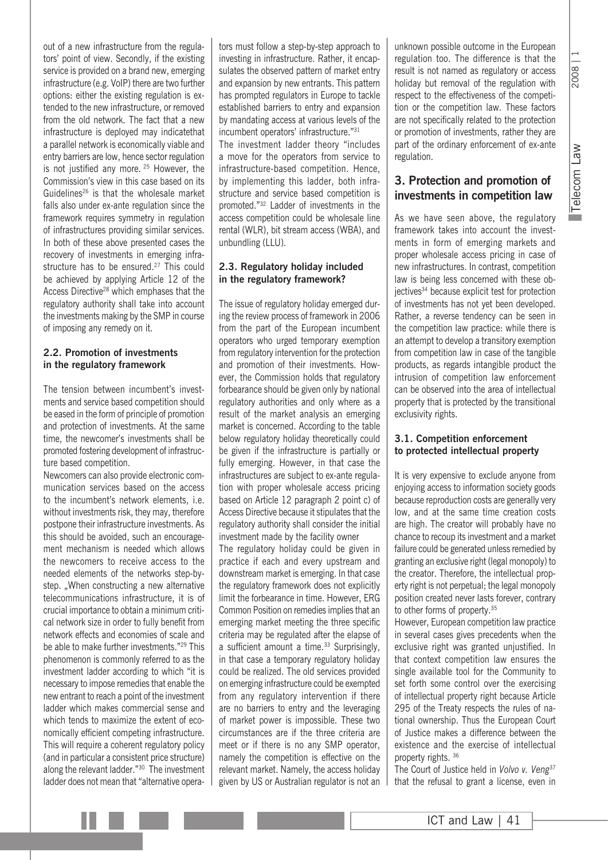2008

out of a new infrastructure from the regulators' point of view. Secondly, if the existing service is provided on a brand new, emerging infrastructure (e.g. VoIP) there are two further options: either the existing regulation is extended to the new infrastructure, or removed from the old network. The fact that a new infrastructure is deployed may indicatethat a parallel network is economically viable and entry barriers are low, hence sector regulation is not justified any more. 25 However, the Commission's view in this case based on its Guidelines26 is that the wholesale market falls also under ex-ante regulation since the framework requires symmetry in regulation of infrastructures providing similar services. In both of these above presented cases the recovery of investments in emerging infrastructure has to be ensured.<sup>27</sup> This could be achieved by applying Article 12 of the Access Directive<sup>28</sup> which emphases that the regulatory authority shall take into account the investments making by the SMP in course of imposing any remedy on it.

#### **2.2. Promotion of investments in the regulatory framework**

The tension between incumbent's investments and service based competition should be eased in the form of principle of promotion and protection of investments. At the same time, the newcomer's investments shall be promoted fostering development of infrastructure based competition.

Newcomers can also provide electronic communication services based on the access to the incumbent's network elements, i.e. without investments risk, they may, therefore postpone their infrastructure investments. As this should be avoided, such an encouragement mechanism is needed which allows the newcomers to receive access to the needed elements of the networks step-bystep. "When constructing a new alternative telecommunications infrastructure, it is of crucial importance to obtain a minimum critical network size in order to fully benefit from network effects and economies of scale and be able to make further investments."29 This phenomenon is commonly referred to as the investment ladder according to which "it is necessary to impose remedies that enable the new entrant to reach a point of the investment ladder which makes commercial sense and which tends to maximize the extent of economically efficient competing infrastructure. This will require a coherent regulatory policy (and in particular a consistent price structure) along the relevant ladder."30 The investment ladder does not mean that "alternative operators must follow a step-by-step approach to investing in infrastructure. Rather, it encapsulates the observed pattern of market entry and expansion by new entrants. This pattern has prompted regulators in Europe to tackle established barriers to entry and expansion by mandating access at various levels of the incumbent operators' infrastructure."31 The investment ladder theory "includes a move for the operators from service to infrastructure-based competition. Hence, by implementing this ladder, both infrastructure and service based competition is promoted."32 Ladder of investments in the access competition could be wholesale line rental (WLR), bit stream access (WBA), and unbundling (LLU).

#### **2.3. Regulatory holiday included in the regulatory framework?**

The issue of regulatory holiday emerged during the review process of framework in 2006 from the part of the European incumbent operators who urged temporary exemption from regulatory intervention for the protection and promotion of their investments. However, the Commission holds that regulatory forbearance should be given only by national regulatory authorities and only where as a result of the market analysis an emerging market is concerned. According to the table below regulatory holiday theoretically could be given if the infrastructure is partially or fully emerging. However, in that case the infrastructures are subject to ex-ante regulation with proper wholesale access pricing based on Article 12 paragraph 2 point c) of Access Directive because it stipulates that the regulatory authority shall consider the initial investment made by the facility owner

The regulatory holiday could be given in practice if each and every upstream and downstream market is emerging. In that case the regulatory framework does not explicitly limit the forbearance in time. However, ERG Common Position on remedies implies that an emerging market meeting the three specific criteria may be regulated after the elapse of a sufficient amount a time. $33$  Surprisingly, in that case a temporary regulatory holiday could be realized. The old services provided on emerging infrastructure could be exempted from any regulatory intervention if there are no barriers to entry and the leveraging of market power is impossible. These two circumstances are if the three criteria are meet or if there is no any SMP operator, namely the competition is effective on the relevant market. Namely, the access holiday given by US or Australian regulator is not an unknown possible outcome in the European regulation too. The difference is that the result is not named as regulatory or access holiday but removal of the regulation with respect to the effectiveness of the competition or the competition law. These factors are not specifically related to the protection or promotion of investments, rather they are part of the ordinary enforcement of ex-ante regulation.

# **3. Protection and promotion of investments in competition law**

As we have seen above, the regulatory framework takes into account the investments in form of emerging markets and proper wholesale access pricing in case of new infrastructures. In contrast, competition law is being less concerned with these objectives<sup>34</sup> because explicit test for protection of investments has not yet been developed. Rather, a reverse tendency can be seen in the competition law practice: while there is an attempt to develop a transitory exemption from competition law in case of the tangible products, as regards intangible product the intrusion of competition law enforcement can be observed into the area of intellectual property that is protected by the transitional exclusivity rights.

#### **3.1. Competition enforcement to protected intellectual property**

It is very expensive to exclude anyone from enjoying access to information society goods because reproduction costs are generally very low, and at the same time creation costs are high. The creator will probably have no chance to recoup its investment and a market failure could be generated unless remedied by granting an exclusive right (legal monopoly) to the creator. Therefore, the intellectual property right is not perpetual; the legal monopoly position created never lasts forever, contrary to other forms of property.<sup>35</sup>

However, European competition law practice in several cases gives precedents when the exclusive right was granted unjustified. In that context competition law ensures the single available tool for the Community to set forth some control over the exercising of intellectual property right because Article 295 of the Treaty respects the rules of national ownership. Thus the European Court of Justice makes a difference between the existence and the exercise of intellectual property rights. 36

The Court of Justice held in *Volvo v. Veng*<sup>37</sup> that the refusal to grant a license, even in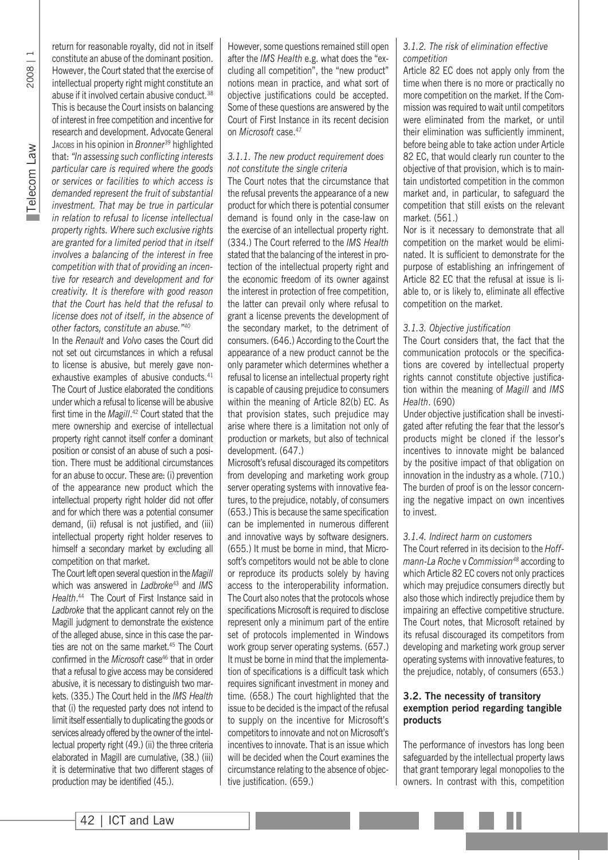2008 | 1

return for reasonable royalty, did not in itself constitute an abuse of the dominant position. However, the Court stated that the exercise of intellectual property right might constitute an abuse if it involved certain abusive conduct.<sup>38</sup> This is because the Court insists on balancing of interest in free competition and incentive for research and development. Advocate General Jacobs in his opinion in *Bronner39* highlighted that: *"In assessing such conflicting interests particular care is required where the goods or services or facilities to which access is demanded represent the fruit of substantial investment. That may be true in particular in relation to refusal to license intellectual property rights. Where such exclusive rights are granted for a limited period that in itself involves a balancing of the interest in free competition with that of providing an incentive for research and development and for creativity. It is therefore with good reason that the Court has held that the refusal to license does not of itself, in the absence of other factors, constitute an abuse."40*

In the *Renault* and *Volvo* cases the Court did not set out circumstances in which a refusal to license is abusive, but merely gave nonexhaustive examples of abusive conducts.<sup>41</sup> The Court of Justice elaborated the conditions under which a refusal to license will be abusive first time in the *Magill*. 42 Court stated that the mere ownership and exercise of intellectual property right cannot itself confer a dominant position or consist of an abuse of such a position. There must be additional circumstances for an abuse to occur. These are: (i) prevention of the appearance new product which the intellectual property right holder did not offer and for which there was a potential consumer demand, (ii) refusal is not justified, and (iii) intellectual property right holder reserves to himself a secondary market by excluding all competition on that market.

The Court left open several question in the *Magill* which was answered in *Ladbroke*43 and *IMS Health*. 44 The Court of First Instance said in *Ladbroke* that the applicant cannot rely on the Magill judgment to demonstrate the existence of the alleged abuse, since in this case the parties are not on the same market.<sup>45</sup> The Court confirmed in the *Microsoft* case<sup>46</sup> that in order that a refusal to give access may be considered abusive, it is necessary to distinguish two markets. (335.) The Court held in the *IMS Health* that (i) the requested party does not intend to limit itself essentially to duplicating the goods or services already offered by the owner of the intellectual property right (49.) (ii) the three criteria elaborated in Magill are cumulative, (38.) (iii) it is determinative that two different stages of production may be identified (45.).

However, some questions remained still open after the *IMS Health* e.g. what does the "excluding all competition", the "new product" notions mean in practice, and what sort of objective justifications could be accepted. Some of these questions are answered by the Court of First Instance in its recent decision on *Microsoft* case.47

#### *3.1.1. The new product requirement does not constitute the single criteria*

The Court notes that the circumstance that the refusal prevents the appearance of a new product for which there is potential consumer demand is found only in the case-law on the exercise of an intellectual property right. (334.) The Court referred to the *IMS Health* stated that the balancing of the interest in protection of the intellectual property right and the economic freedom of its owner against the interest in protection of free competition, the latter can prevail only where refusal to grant a license prevents the development of the secondary market, to the detriment of consumers. (646.) According to the Court the appearance of a new product cannot be the only parameter which determines whether a refusal to license an intellectual property right is capable of causing prejudice to consumers within the meaning of Article 82(b) EC. As that provision states, such prejudice may arise where there is a limitation not only of production or markets, but also of technical development. (647.)

Microsoft's refusal discouraged its competitors from developing and marketing work group server operating systems with innovative features, to the prejudice, notably, of consumers (653.) This is because the same specification can be implemented in numerous different and innovative ways by software designers. (655.) It must be borne in mind, that Microsoft's competitors would not be able to clone or reproduce its products solely by having access to the interoperability information. The Court also notes that the protocols whose specifications Microsoft is required to disclose represent only a minimum part of the entire set of protocols implemented in Windows work group server operating systems. (657.) It must be borne in mind that the implementation of specifications is a difficult task which requires significant investment in money and time. (658.) The court highlighted that the issue to be decided is the impact of the refusal to supply on the incentive for Microsoft's competitors to innovate and not on Microsoft's incentives to innovate. That is an issue which will be decided when the Court examines the circumstance relating to the absence of objective justification. (659.)

#### *3.1.2. The risk of elimination effective competition*

Article 82 EC does not apply only from the time when there is no more or practically no more competition on the market. If the Commission was required to wait until competitors were eliminated from the market, or until their elimination was sufficiently imminent, before being able to take action under Article 82 EC, that would clearly run counter to the objective of that provision, which is to maintain undistorted competition in the common market and, in particular, to safeguard the competition that still exists on the relevant market. (561.)

Nor is it necessary to demonstrate that all competition on the market would be eliminated. It is sufficient to demonstrate for the purpose of establishing an infringement of Article 82 EC that the refusal at issue is liable to, or is likely to, eliminate all effective competition on the market.

#### *3.1.3. Objective justification*

The Court considers that, the fact that the communication protocols or the specifications are covered by intellectual property rights cannot constitute objective justification within the meaning of *Magill* and *IMS Health*. (690)

Under objective justification shall be investigated after refuting the fear that the lessor's products might be cloned if the lessor's incentives to innovate might be balanced by the positive impact of that obligation on innovation in the industry as a whole. (710.) The burden of proof is on the lessor concerning the negative impact on own incentives to invest.

#### *3.1.4. Indirect harm on customers*

The Court referred in its decision to the *Hoffmann-La Roche* v *Commission48* according to which Article 82 EC covers not only practices which may prejudice consumers directly but also those which indirectly prejudice them by impairing an effective competitive structure. The Court notes, that Microsoft retained by its refusal discouraged its competitors from developing and marketing work group server operating systems with innovative features, to the prejudice, notably, of consumers (653.)

#### **3.2. The necessity of transitory exemption period regarding tangible products**

The performance of investors has long been safeguarded by the intellectual property laws that grant temporary legal monopolies to the owners. In contrast with this, competition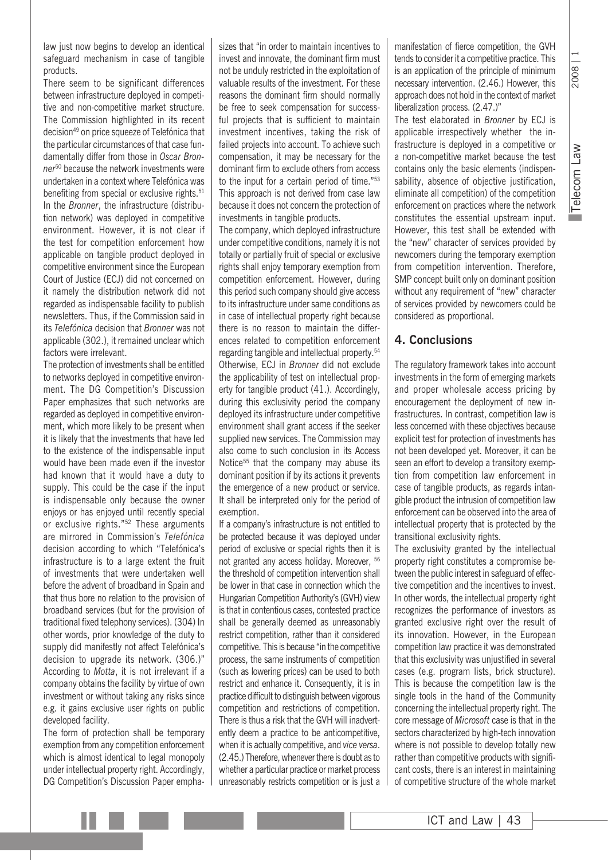law just now begins to develop an identical safeguard mechanism in case of tangible products.

There seem to be significant differences between infrastructure deployed in competitive and non-competitive market structure. The Commission highlighted in its recent decision49 on price squeeze of Telefónica that the particular circumstances of that case fundamentally differ from those in *Oscar Bronner*50 because the network investments were undertaken in a context where Telefónica was benefiting from special or exclusive rights.<sup>51</sup> In the *Bronner*, the infrastructure (distribution network) was deployed in competitive environment. However, it is not clear if the test for competition enforcement how applicable on tangible product deployed in competitive environment since the European Court of Justice (ECJ) did not concerned on it namely the distribution network did not regarded as indispensable facility to publish newsletters. Thus, if the Commission said in its *Telefónica* decision that *Bronner* was not applicable (302.), it remained unclear which factors were irrelevant.

The protection of investments shall be entitled to networks deployed in competitive environment. The DG Competition's Discussion Paper emphasizes that such networks are regarded as deployed in competitive environment, which more likely to be present when it is likely that the investments that have led to the existence of the indispensable input would have been made even if the investor had known that it would have a duty to supply. This could be the case if the input is indispensable only because the owner enjoys or has enjoyed until recently special or exclusive rights."52 These arguments are mirrored in Commission's *Telefónica*  decision according to which "Telefónica's infrastructure is to a large extent the fruit of investments that were undertaken well before the advent of broadband in Spain and that thus bore no relation to the provision of broadband services (but for the provision of traditional fixed telephony services). (304) In other words, prior knowledge of the duty to supply did manifestly not affect Telefónica's decision to upgrade its network. (306.)" According to *Motta*, it is not irrelevant if a company obtains the facility by virtue of own investment or without taking any risks since e.g. it gains exclusive user rights on public developed facility.

The form of protection shall be temporary exemption from any competition enforcement which is almost identical to legal monopoly under intellectual property right. Accordingly, DG Competition's Discussion Paper emphasizes that "in order to maintain incentives to invest and innovate, the dominant firm must not be unduly restricted in the exploitation of valuable results of the investment. For these reasons the dominant firm should normally be free to seek compensation for successful projects that is sufficient to maintain investment incentives, taking the risk of failed projects into account. To achieve such compensation, it may be necessary for the dominant firm to exclude others from access to the input for a certain period of time."53 This approach is not derived from case law because it does not concern the protection of investments in tangible products.

The company, which deployed infrastructure under competitive conditions, namely it is not totally or partially fruit of special or exclusive rights shall enjoy temporary exemption from competition enforcement. However, during this period such company should give access to its infrastructure under same conditions as in case of intellectual property right because there is no reason to maintain the differences related to competition enforcement regarding tangible and intellectual property.54 Otherwise, ECJ in *Bronner* did not exclude the applicability of test on intellectual property for tangible product (41.). Accordingly, during this exclusivity period the company deployed its infrastructure under competitive environment shall grant access if the seeker supplied new services. The Commission may also come to such conclusion in its Access Notice<sup>55</sup> that the company may abuse its dominant position if by its actions it prevents the emergence of a new product or service. It shall be interpreted only for the period of exemption.

If a company's infrastructure is not entitled to be protected because it was deployed under period of exclusive or special rights then it is not granted any access holiday. Moreover, 56 the threshold of competition intervention shall be lower in that case in connection which the Hungarian Competition Authority's (GVH) view is that in contentious cases, contested practice shall be generally deemed as unreasonably restrict competition, rather than it considered competitive. This is because "in the competitive process, the same instruments of competition (such as lowering prices) can be used to both restrict and enhance it. Consequently, it is in practice difficult to distinguish between vigorous competition and restrictions of competition. There is thus a risk that the GVH will inadvertently deem a practice to be anticompetitive, when it is actually competitive, and *vice versa*. (2.45.) Therefore, whenever there is doubt as to whether a particular practice or market process unreasonably restricts competition or is just a manifestation of fierce competition, the GVH tends to consider it a competitive practice. This is an application of the principle of minimum necessary intervention. (2.46.) However, this approach does not hold in the context of market liberalization process. (2.47.)"

The test elaborated in *Bronner* by ECJ is applicable irrespectively whether the infrastructure is deployed in a competitive or a non-competitive market because the test contains only the basic elements (indispensability, absence of objective justification, eliminate all competition) of the competition enforcement on practices where the network constitutes the essential upstream input. However, this test shall be extended with the "new" character of services provided by newcomers during the temporary exemption from competition intervention. Therefore, SMP concept built only on dominant position without any requirement of "new" character of services provided by newcomers could be considered as proportional.

#### **4. Conclusions**

The regulatory framework takes into account investments in the form of emerging markets and proper wholesale access pricing by encouragement the deployment of new infrastructures. In contrast, competition law is less concerned with these objectives because explicit test for protection of investments has not been developed yet. Moreover, it can be seen an effort to develop a transitory exemption from competition law enforcement in case of tangible products, as regards intangible product the intrusion of competition law enforcement can be observed into the area of intellectual property that is protected by the transitional exclusivity rights.

The exclusivity granted by the intellectual property right constitutes a compromise between the public interest in safeguard of effective competition and the incentives to invest. In other words, the intellectual property right recognizes the performance of investors as granted exclusive right over the result of its innovation. However, in the European competition law practice it was demonstrated that this exclusivity was unjustified in several cases (e.g. program lists, brick structure). This is because the competition law is the single tools in the hand of the Community concerning the intellectual property right. The core message of *Microsoft* case is that in the sectors characterized by high-tech innovation where is not possible to develop totally new rather than competitive products with significant costs, there is an interest in maintaining of competitive structure of the whole market